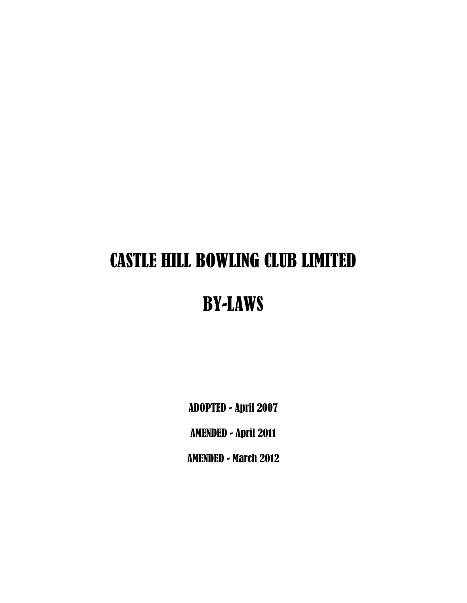# CASTLE HILL BOWLING CLUB LIMITED

# BY-LAWS

ADOPTED - April 2007

AMENDED - April 2011

AMENDED - March 2012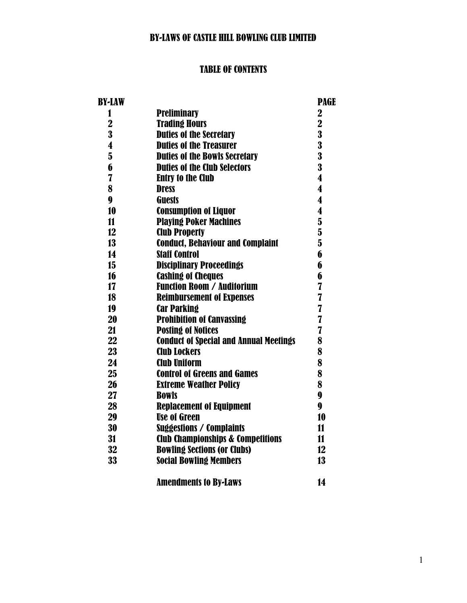## BY-LAWS OF CASTLE HILL BOWLING CLUB LIMITED

## TABLE OF CONTENTS

| BY-LAW                  |                                               | <b>PAGE</b>             |
|-------------------------|-----------------------------------------------|-------------------------|
| 1                       | <b>Preliminary</b>                            | $\overline{2}$          |
| $\overline{\mathbf{2}}$ | <b>Trading Hours</b>                          | $\overline{\mathbf{2}}$ |
| 3                       | <b>Duties of the Secretary</b>                | $\overline{\mathbf{3}}$ |
| 4                       | <b>Duties of the Treasurer</b>                | $\overline{\mathbf{3}}$ |
| $\overline{\mathbf{5}}$ | <b>Duties of the Bowls Secretary</b>          | $\overline{\mathbf{3}}$ |
| 6                       | <b>Duties of the Club Selectors</b>           | $\overline{\mathbf{3}}$ |
| 7                       | <b>Entry to the Club</b>                      | $\boldsymbol{4}$        |
| 8                       | <b>Dress</b>                                  | $\overline{\mathbf{4}}$ |
| 9                       | <b>Guests</b>                                 | 4                       |
| 10                      | <b>Consumption of Liquor</b>                  | $\boldsymbol{4}$        |
| $\mathbf{11}$           | <b>Playing Poker Machines</b>                 | $\bf{5}$                |
| 12                      | <b>Club Property</b>                          | $\overline{\mathbf{5}}$ |
| 13                      | <b>Conduct, Behaviour and Complaint</b>       | $\overline{5}$          |
| 14                      | <b>Staff Control</b>                          | 6                       |
| 15 <sub>15</sub>        | <b>Disciplinary Proceedings</b>               | 6                       |
| 16                      | <b>Cashing of Cheques</b>                     | 6                       |
| 17                      | <b>Function Room / Auditorium</b>             | $\overline{\mathbf{I}}$ |
| 18                      | <b>Reimbursement of Expenses</b>              | 7                       |
| 19                      | <b>Car Parking</b>                            | $\overline{\mathbf{I}}$ |
| 20                      | <b>Prohibition of Canvassing</b>              | $\overline{7}$          |
| 21                      | <b>Posting of Notices</b>                     | 7                       |
| 22                      | <b>Conduct of Special and Annual Meetings</b> | 8                       |
| 23                      | <b>Club Lockers</b>                           | 8                       |
| 24                      | <b>Club Uniform</b>                           | 8                       |
| 25                      | <b>Control of Greens and Games</b>            | 8                       |
| 26                      | <b>Extreme Weather Policy</b>                 | 8                       |
| 27                      | <b>Bowls</b>                                  | $\boldsymbol{9}$        |
| 28                      | <b>Replacement of Equipment</b>               | $\boldsymbol{9}$        |
| 29                      | <b>Use of Green</b>                           | 10                      |
| 30                      | <b>Suggestions / Complaints</b>               | 11                      |
| 31                      | <b>Club Championships &amp; Competitions</b>  | 11                      |
| 32                      | <b>Bowling Sections (or Clubs)</b>            | 12                      |
| 33                      | <b>Social Bowling Members</b>                 | 13                      |
|                         | <b>Amendments to By-Laws</b>                  | 14                      |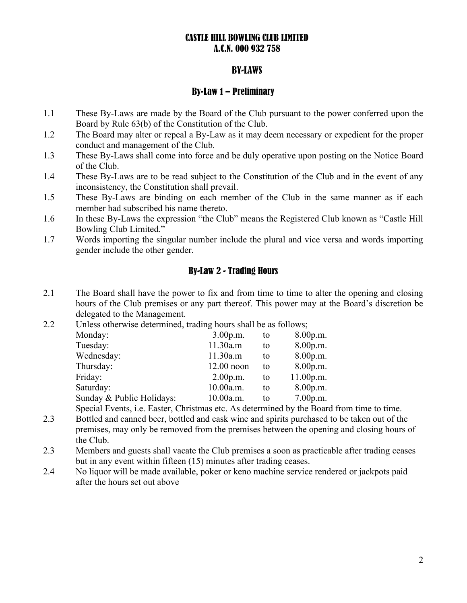#### CASTLE HILL BOWLING CLUB LIMITED A.C.N. 000 932 758

#### BY-LAWS

#### By-Law 1 – Preliminary

- 1.1 These By-Laws are made by the Board of the Club pursuant to the power conferred upon the Board by Rule 63(b) of the Constitution of the Club.
- 1.2 The Board may alter or repeal a By-Law as it may deem necessary or expedient for the proper conduct and management of the Club.
- 1.3 These By-Laws shall come into force and be duly operative upon posting on the Notice Board of the Club.
- 1.4 These By-Laws are to be read subject to the Constitution of the Club and in the event of any inconsistency, the Constitution shall prevail.
- 1.5 These By-Laws are binding on each member of the Club in the same manner as if each member had subscribed his name thereto.
- 1.6 In these By-Laws the expression "the Club" means the Registered Club known as "Castle Hill Bowling Club Limited."
- 1.7 Words importing the singular number include the plural and vice versa and words importing gender include the other gender.

## By-Law 2 - Trading Hours

- 2.1 The Board shall have the power to fix and from time to time to alter the opening and closing hours of the Club premises or any part thereof. This power may at the Board's discretion be delegated to the Management.
- 2.2 Unless otherwise determined, trading hours shall be as follows;

| Monday:                   | 3.00 p.m.    | to | 8.00 p.m.  |
|---------------------------|--------------|----|------------|
| Tuesday:                  | 11.30a.m     | to | 8.00p.m.   |
| Wednesday:                | 11.30a.m     | tο | 8.00 p.m.  |
| Thursday:                 | $12.00$ noon | to | 8.00 p.m.  |
| Friday:                   | 2.00 p.m.    | to | 11.00 p.m. |
| Saturday:                 | 10.00a.m.    | tο | 8.00 p.m.  |
| Sunday & Public Holidays: | 10.00a.m.    | tο | 7.00 p.m.  |

Special Events, i.e. Easter, Christmas etc. As determined by the Board from time to time.

- 2.3 Bottled and canned beer, bottled and cask wine and spirits purchased to be taken out of the premises, may only be removed from the premises between the opening and closing hours of the Club.
- 2.3 Members and guests shall vacate the Club premises a soon as practicable after trading ceases but in any event within fifteen (15) minutes after trading ceases.
- 2.4 No liquor will be made available, poker or keno machine service rendered or jackpots paid after the hours set out above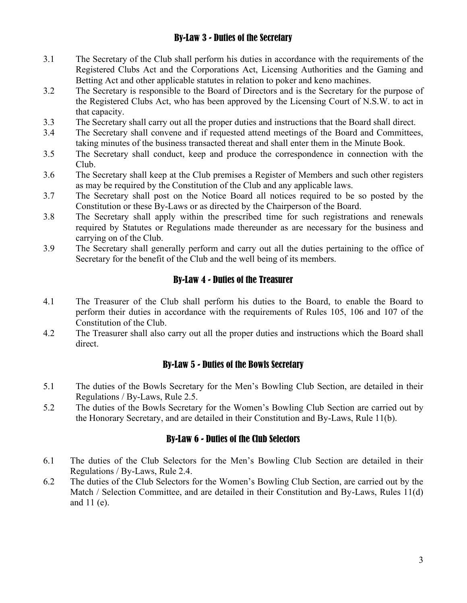## By-Law 3 - Duties of the Secretary

- 3.1 The Secretary of the Club shall perform his duties in accordance with the requirements of the Registered Clubs Act and the Corporations Act, Licensing Authorities and the Gaming and Betting Act and other applicable statutes in relation to poker and keno machines.
- 3.2 The Secretary is responsible to the Board of Directors and is the Secretary for the purpose of the Registered Clubs Act, who has been approved by the Licensing Court of N.S.W. to act in that capacity.
- 3.3 The Secretary shall carry out all the proper duties and instructions that the Board shall direct.
- 3.4 The Secretary shall convene and if requested attend meetings of the Board and Committees, taking minutes of the business transacted thereat and shall enter them in the Minute Book.
- 3.5 The Secretary shall conduct, keep and produce the correspondence in connection with the Club.
- 3.6 The Secretary shall keep at the Club premises a Register of Members and such other registers as may be required by the Constitution of the Club and any applicable laws.
- 3.7 The Secretary shall post on the Notice Board all notices required to be so posted by the Constitution or these By-Laws or as directed by the Chairperson of the Board.
- 3.8 The Secretary shall apply within the prescribed time for such registrations and renewals required by Statutes or Regulations made thereunder as are necessary for the business and carrying on of the Club.
- 3.9 The Secretary shall generally perform and carry out all the duties pertaining to the office of Secretary for the benefit of the Club and the well being of its members.

#### By-Law 4 - Duties of the Treasurer

- 4.1 The Treasurer of the Club shall perform his duties to the Board, to enable the Board to perform their duties in accordance with the requirements of Rules 105, 106 and 107 of the Constitution of the Club.
- 4.2 The Treasurer shall also carry out all the proper duties and instructions which the Board shall direct.

#### By-Law 5 - Duties of the Bowls Secretary

- 5.1 The duties of the Bowls Secretary for the Men's Bowling Club Section, are detailed in their Regulations / By-Laws, Rule 2.5.
- 5.2 The duties of the Bowls Secretary for the Women's Bowling Club Section are carried out by the Honorary Secretary, and are detailed in their Constitution and By-Laws, Rule 11(b).

#### By-Law 6 - Duties of the Club Selectors

- 6.1 The duties of the Club Selectors for the Men's Bowling Club Section are detailed in their Regulations / By-Laws, Rule 2.4.
- 6.2 The duties of the Club Selectors for the Women's Bowling Club Section, are carried out by the Match / Selection Committee, and are detailed in their Constitution and By-Laws, Rules 11(d) and 11 (e).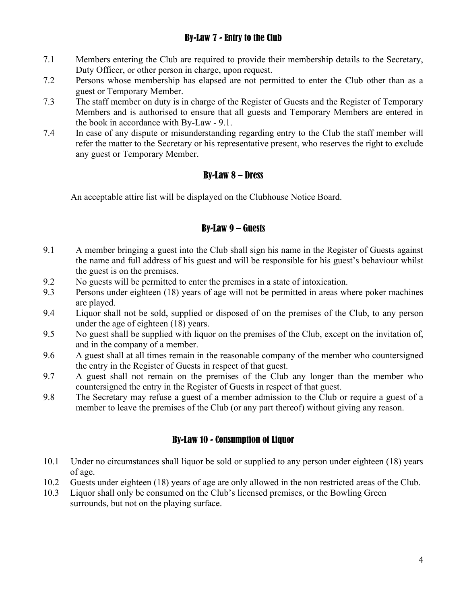## By-Law 7 - Entry to the Club

- 7.1 Members entering the Club are required to provide their membership details to the Secretary, Duty Officer, or other person in charge, upon request.
- 7.2 Persons whose membership has elapsed are not permitted to enter the Club other than as a guest or Temporary Member.
- 7.3 The staff member on duty is in charge of the Register of Guests and the Register of Temporary Members and is authorised to ensure that all guests and Temporary Members are entered in the book in accordance with By-Law - 9.1.
- 7.4 In case of any dispute or misunderstanding regarding entry to the Club the staff member will refer the matter to the Secretary or his representative present, who reserves the right to exclude any guest or Temporary Member.

## By-Law 8 – Dress

An acceptable attire list will be displayed on the Clubhouse Notice Board.

## By-Law 9 – Guests

- 9.1 A member bringing a guest into the Club shall sign his name in the Register of Guests against the name and full address of his guest and will be responsible for his guest's behaviour whilst the guest is on the premises.
- 9.2 No guests will be permitted to enter the premises in a state of intoxication.
- 9.3 Persons under eighteen (18) years of age will not be permitted in areas where poker machines are played.
- 9.4 Liquor shall not be sold, supplied or disposed of on the premises of the Club, to any person under the age of eighteen (18) years.
- 9.5 No guest shall be supplied with liquor on the premises of the Club, except on the invitation of, and in the company of a member.
- 9.6 A guest shall at all times remain in the reasonable company of the member who countersigned the entry in the Register of Guests in respect of that guest.
- 9.7 A guest shall not remain on the premises of the Club any longer than the member who countersigned the entry in the Register of Guests in respect of that guest.
- 9.8 The Secretary may refuse a guest of a member admission to the Club or require a guest of a member to leave the premises of the Club (or any part thereof) without giving any reason.

## By-Law 10 - Consumption of Liquor

- 10.1 Under no circumstances shall liquor be sold or supplied to any person under eighteen (18) years of age.
- 10.2 Guests under eighteen (18) years of age are only allowed in the non restricted areas of the Club.
- 10.3 Liquor shall only be consumed on the Club's licensed premises, or the Bowling Green surrounds, but not on the playing surface.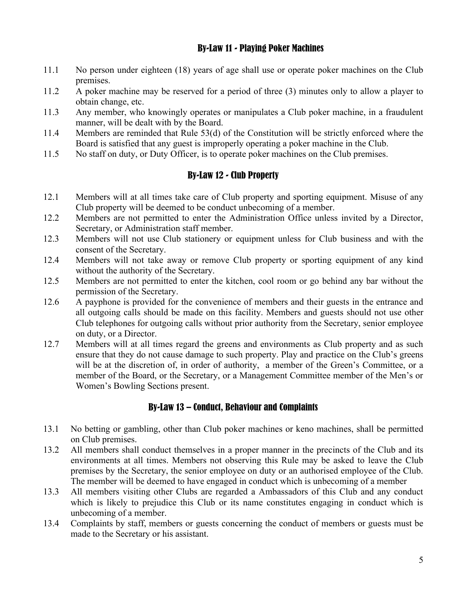#### By-Law 11 - Playing Poker Machines

- 11.1 No person under eighteen (18) years of age shall use or operate poker machines on the Club premises.
- 11.2 A poker machine may be reserved for a period of three (3) minutes only to allow a player to obtain change, etc.
- 11.3 Any member, who knowingly operates or manipulates a Club poker machine, in a fraudulent manner, will be dealt with by the Board.
- 11.4 Members are reminded that Rule 53(d) of the Constitution will be strictly enforced where the Board is satisfied that any guest is improperly operating a poker machine in the Club.
- 11.5 No staff on duty, or Duty Officer, is to operate poker machines on the Club premises.

## By-Law 12 - Club Property

- 12.1 Members will at all times take care of Club property and sporting equipment. Misuse of any Club property will be deemed to be conduct unbecoming of a member.
- 12.2 Members are not permitted to enter the Administration Office unless invited by a Director, Secretary, or Administration staff member.
- 12.3 Members will not use Club stationery or equipment unless for Club business and with the consent of the Secretary.
- 12.4 Members will not take away or remove Club property or sporting equipment of any kind without the authority of the Secretary.
- 12.5 Members are not permitted to enter the kitchen, cool room or go behind any bar without the permission of the Secretary.
- 12.6 A payphone is provided for the convenience of members and their guests in the entrance and all outgoing calls should be made on this facility. Members and guests should not use other Club telephones for outgoing calls without prior authority from the Secretary, senior employee on duty, or a Director.
- 12.7 Members will at all times regard the greens and environments as Club property and as such ensure that they do not cause damage to such property. Play and practice on the Club's greens will be at the discretion of, in order of authority, a member of the Green's Committee, or a member of the Board, or the Secretary, or a Management Committee member of the Men's or Women's Bowling Sections present.

## By-Law 13 – Conduct, Behaviour and Complaints

- 13.1 No betting or gambling, other than Club poker machines or keno machines, shall be permitted on Club premises.
- 13.2 All members shall conduct themselves in a proper manner in the precincts of the Club and its environments at all times. Members not observing this Rule may be asked to leave the Club premises by the Secretary, the senior employee on duty or an authorised employee of the Club. The member will be deemed to have engaged in conduct which is unbecoming of a member
- 13.3 All members visiting other Clubs are regarded a Ambassadors of this Club and any conduct which is likely to prejudice this Club or its name constitutes engaging in conduct which is unbecoming of a member.
- 13.4 Complaints by staff, members or guests concerning the conduct of members or guests must be made to the Secretary or his assistant.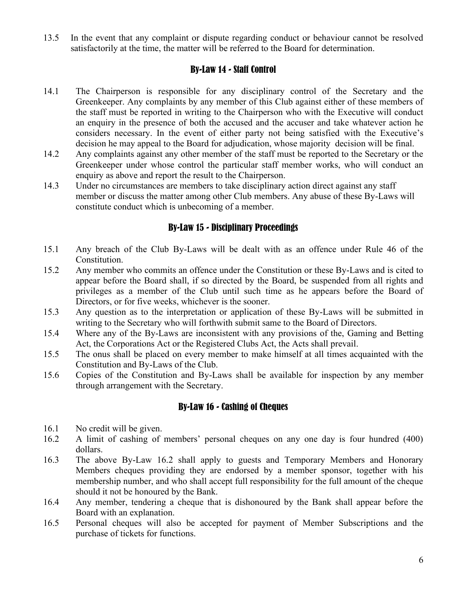13.5 In the event that any complaint or dispute regarding conduct or behaviour cannot be resolved satisfactorily at the time, the matter will be referred to the Board for determination.

#### By-Law 14 - Staff Control

- 14.1 The Chairperson is responsible for any disciplinary control of the Secretary and the Greenkeeper. Any complaints by any member of this Club against either of these members of the staff must be reported in writing to the Chairperson who with the Executive will conduct an enquiry in the presence of both the accused and the accuser and take whatever action he considers necessary. In the event of either party not being satisfied with the Executive's decision he may appeal to the Board for adjudication, whose majority decision will be final.
- 14.2 Any complaints against any other member of the staff must be reported to the Secretary or the Greenkeeper under whose control the particular staff member works, who will conduct an enquiry as above and report the result to the Chairperson.
- 14.3 Under no circumstances are members to take disciplinary action direct against any staff member or discuss the matter among other Club members. Any abuse of these By-Laws will constitute conduct which is unbecoming of a member.

#### By-Law 15 - Disciplinary Proceedings

- 15.1 Any breach of the Club By-Laws will be dealt with as an offence under Rule 46 of the Constitution.
- 15.2 Any member who commits an offence under the Constitution or these By-Laws and is cited to appear before the Board shall, if so directed by the Board, be suspended from all rights and privileges as a member of the Club until such time as he appears before the Board of Directors, or for five weeks, whichever is the sooner.
- 15.3 Any question as to the interpretation or application of these By-Laws will be submitted in writing to the Secretary who will forthwith submit same to the Board of Directors.
- 15.4 Where any of the By-Laws are inconsistent with any provisions of the, Gaming and Betting Act, the Corporations Act or the Registered Clubs Act, the Acts shall prevail.
- 15.5 The onus shall be placed on every member to make himself at all times acquainted with the Constitution and By-Laws of the Club.
- 15.6 Copies of the Constitution and By-Laws shall be available for inspection by any member through arrangement with the Secretary.

#### By-Law 16 - Cashing of Cheques

- 16.1 No credit will be given.
- 16.2 A limit of cashing of members' personal cheques on any one day is four hundred (400) dollars.
- 16.3 The above By-Law 16.2 shall apply to guests and Temporary Members and Honorary Members cheques providing they are endorsed by a member sponsor, together with his membership number, and who shall accept full responsibility for the full amount of the cheque should it not be honoured by the Bank.
- 16.4 Any member, tendering a cheque that is dishonoured by the Bank shall appear before the Board with an explanation.
- 16.5 Personal cheques will also be accepted for payment of Member Subscriptions and the purchase of tickets for functions.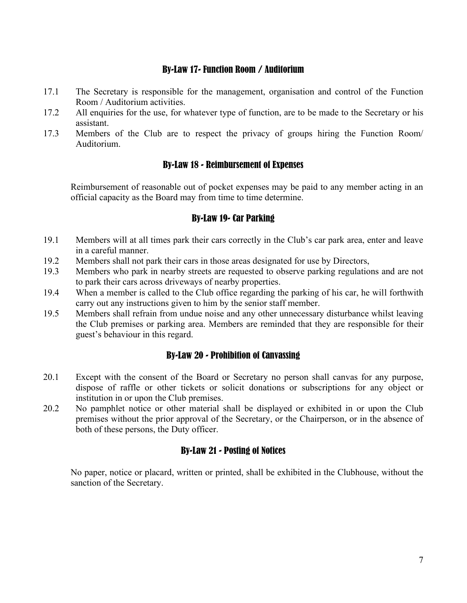#### By-Law 17- Function Room / Auditorium

- 17.1 The Secretary is responsible for the management, organisation and control of the Function Room / Auditorium activities.
- 17.2 All enquiries for the use, for whatever type of function, are to be made to the Secretary or his assistant.
- 17.3 Members of the Club are to respect the privacy of groups hiring the Function Room/ Auditorium.

#### By-Law 18 - Reimbursement of Expenses

Reimbursement of reasonable out of pocket expenses may be paid to any member acting in an official capacity as the Board may from time to time determine.

## By-Law 19- Car Parking

- 19.1 Members will at all times park their cars correctly in the Club's car park area, enter and leave in a careful manner.
- 19.2 Members shall not park their cars in those areas designated for use by Directors,
- 19.3 Members who park in nearby streets are requested to observe parking regulations and are not to park their cars across driveways of nearby properties.
- 19.4 When a member is called to the Club office regarding the parking of his car, he will forthwith carry out any instructions given to him by the senior staff member.
- 19.5 Members shall refrain from undue noise and any other unnecessary disturbance whilst leaving the Club premises or parking area. Members are reminded that they are responsible for their guest's behaviour in this regard.

#### By-Law 20 - Prohibition of Canvassing

- 20.1 Except with the consent of the Board or Secretary no person shall canvas for any purpose, dispose of raffle or other tickets or solicit donations or subscriptions for any object or institution in or upon the Club premises.
- 20.2 No pamphlet notice or other material shall be displayed or exhibited in or upon the Club premises without the prior approval of the Secretary, or the Chairperson, or in the absence of both of these persons, the Duty officer.

## By-Law 21 - Posting of Notices

No paper, notice or placard, written or printed, shall be exhibited in the Clubhouse, without the sanction of the Secretary.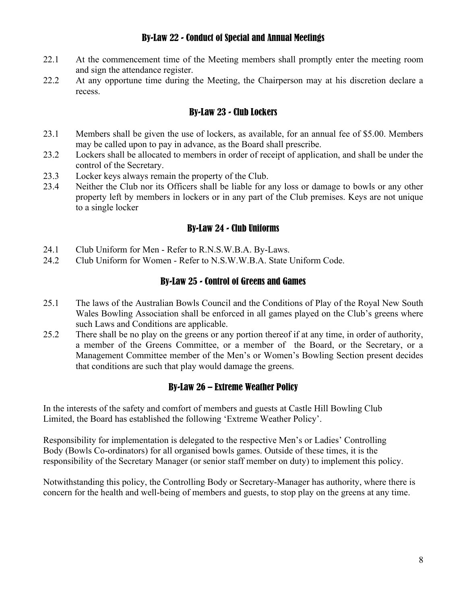#### By-Law 22 - Conduct of Special and Annual Meetings

- 22.1 At the commencement time of the Meeting members shall promptly enter the meeting room and sign the attendance register.
- 22.2 At any opportune time during the Meeting, the Chairperson may at his discretion declare a recess.

## By-Law 23 - Club Lockers

- 23.1 Members shall be given the use of lockers, as available, for an annual fee of \$5.00. Members may be called upon to pay in advance, as the Board shall prescribe.
- 23.2 Lockers shall be allocated to members in order of receipt of application, and shall be under the control of the Secretary.
- 23.3 Locker keys always remain the property of the Club.
- 23.4 Neither the Club nor its Officers shall be liable for any loss or damage to bowls or any other property left by members in lockers or in any part of the Club premises. Keys are not unique to a single locker

#### By-Law 24 - Club Uniforms

- 24.1 Club Uniform for Men Refer to R.N.S.W.B.A. By-Laws.
- 24.2 Club Uniform for Women Refer to N.S.W.W.B.A. State Uniform Code.

#### By-Law 25 - Control of Greens and Games

- 25.1 The laws of the Australian Bowls Council and the Conditions of Play of the Royal New South Wales Bowling Association shall be enforced in all games played on the Club's greens where such Laws and Conditions are applicable.
- 25.2 There shall be no play on the greens or any portion thereof if at any time, in order of authority, a member of the Greens Committee, or a member of the Board, or the Secretary, or a Management Committee member of the Men's or Women's Bowling Section present decides that conditions are such that play would damage the greens.

## By-Law 26 – Extreme Weather Policy

In the interests of the safety and comfort of members and guests at Castle Hill Bowling Club Limited, the Board has established the following 'Extreme Weather Policy'.

Responsibility for implementation is delegated to the respective Men's or Ladies' Controlling Body (Bowls Co-ordinators) for all organised bowls games. Outside of these times, it is the responsibility of the Secretary Manager (or senior staff member on duty) to implement this policy.

Notwithstanding this policy, the Controlling Body or Secretary-Manager has authority, where there is concern for the health and well-being of members and guests, to stop play on the greens at any time.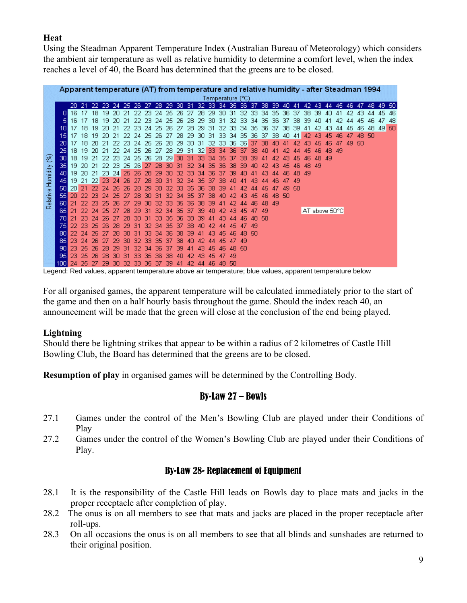## **Heat**

Using the Steadman Apparent Temperature Index (Australian Bureau of Meteorology) which considers the ambient air temperature as well as relative humidity to determine a comfort level, when the index reaches a level of 40, the Board has determined that the greens are to be closed.

|          |                  | Apparent temperature (AT) from temperature and relative humidity - after Steadman 1994 |          |     |      |     |                               |     |      |     |       |      |      |     |                  |             |     |       |     |         |     |             |     |               |       |    |       |       |       |       |    |       |
|----------|------------------|----------------------------------------------------------------------------------------|----------|-----|------|-----|-------------------------------|-----|------|-----|-------|------|------|-----|------------------|-------------|-----|-------|-----|---------|-----|-------------|-----|---------------|-------|----|-------|-------|-------|-------|----|-------|
|          |                  |                                                                                        |          |     |      |     |                               |     |      |     |       |      |      |     | Temperature (°C) |             |     |       |     |         |     |             |     |               |       |    |       |       |       |       |    |       |
|          |                  | 20                                                                                     | -21      |     |      |     | 22 23 24 25 26 27 28 29 30 31 |     |      |     |       |      |      | -32 | -33.             | 34 35 36 37 |     |       |     |         |     | 38 39 40 41 |     |               | 42 43 |    | 44 45 |       | 46 47 | 48 49 |    | -50   |
|          |                  | 16                                                                                     | 17       | 18. | 19   | 20  | -21                           | 22  | -23  | -24 | 25.26 |      | -27  | -28 | 29               | -30.        | -31 | 32 33 |     | -34-35. |     | -36         | -37 | 38.           | -39.  | 40 | -41   | 42    | 43.   | 44    | 45 | -46   |
|          | 5                | 16                                                                                     |          | 18  | 19   |     |                               |     | 23   | -24 | 25    | 26   | 28   | 29  | ЗΩ               | 31          | 32  | 33    | 34  | 35      | 36. | 37          | 38  | 39            | 40.   |    |       | 44    | 45    | 46.   | 47 | -48   |
|          | 10               | 17                                                                                     | 18       | 19  |      |     |                               | 23  | 24   | 25  | 26.   | -27  | 28.  | 29  | 31               | 32          | -33 | -34   | 35. | 36.     | -37 | 38.         | -39 | 41            | 42    | 43 | 44    | 45    | 46    | 48    |    | 49 50 |
|          | 15               | 17                                                                                     | 18       | 19  |      |     |                               |     | 25   | 26  | 27    | 28   | 29   | ЗΩ  | 31               | 33          | -34 | -35   | 36. | -37     | -38 | 40          | 41  | 42            | 43    | 45 |       |       | 48    | 50.   |    |       |
|          | 20               | 17                                                                                     | 18       | 20. | -21  | -22 | 23                            | -24 | -25  | -26 | 28.   | -29. | .30. | -31 | -32.             | -33.        | -35 | -361  | -37 | 38      | AΠ  |             |     | 43            |       |    |       | 49 50 |       |       |    |       |
|          | 251              |                                                                                        | 18 19 20 |     | -21  |     | 24                            | 25  | 26   | 27  | 28.   | -29  | -31  | -32 | 33               | 34          | 36  | -37   | 38  |         |     |             |     | 45            |       | 48 | -49   |       |       |       |    |       |
| 8        | 301              | 18 19                                                                                  |          | -21 | -22. | -23 | -24                           | -25 | -26. | -28 | -29   | -30  | -31  | -33 | 34               | 35          | 37  | 38    | 39  |         |     |             |     |               | 48    | 49 |       |       |       |       |    |       |
|          | 35 I             | 19.                                                                                    | -20.     | -21 | 22   | 23  | 25                            | -26 | -27  | -28 | 30.   | -31  | 32   | 34  | 35               | 36          |     |       |     |         |     |             |     | 48.           | -49   |    |       |       |       |       |    |       |
| Humidity | 401              | 19.                                                                                    | -20 -21  |     | -23. | -24 | 25.                           | -26 | 28   | 29  | ЗΩ    | 32   | 33   | 34  | 36               | 37          | 39  |       |     |         |     |             |     | -49           |       |    |       |       |       |       |    |       |
|          | 45               |                                                                                        | 19 21 22 |     | -23  |     | 26                            |     | 28   |     | 31    | 32   | 34   | 35  | 37               | 38          |     |       |     |         |     |             | 49  |               |       |    |       |       |       |       |    |       |
|          | <b>50</b>        | 201                                                                                    | -21      | 22  |      | 76  | 26                            | 28  | 29   |     |       | 33   | 35.  | 36  | 38               | 39          |     |       |     |         |     | 49          | 50  |               |       |    |       |       |       |       |    |       |
| Relative | 551              | 20                                                                                     | -22      | 23  |      |     |                               | 28  |      |     |       | 34   | 35   | 37  | 38               |             |     |       |     |         |     | -50         |     |               |       |    |       |       |       |       |    |       |
|          | 601              | 21                                                                                     | -22.     | 23  | 25   |     |                               | 29  |      |     | ж     | 35   | 36   | 38  | 39               |             |     |       |     | 48      | -49 |             |     |               |       |    |       |       |       |       |    |       |
|          | 65 I             | 21                                                                                     | 22.      | -24 | 25   |     | 28                            | 29  | ы    | 32  | 34    | 35   | 37   | 39  |                  |             |     | 45    |     | 49      |     |             |     | AT above 50°C |       |    |       |       |       |       |    |       |
|          | 701              | 21                                                                                     | 23.      | -24 | -26  |     | 28                            | зп  |      | 33  | 35    | 36   | 38   | 39  |                  | 43          |     |       |     | 50      |     |             |     |               |       |    |       |       |       |       |    |       |
|          | 751              | 22                                                                                     | 23       | 25  | -26  | 28  | 29                            | 31  | 32   | 34  | 35    | 37   | 38   |     |                  |             |     |       | 49  |         |     |             |     |               |       |    |       |       |       |       |    |       |
|          | 801              | 22.                                                                                    | -24      | 25  |      |     |                               |     |      |     | 36    | 38   | 39   |     |                  |             |     | 48    | -50 |         |     |             |     |               |       |    |       |       |       |       |    |       |
|          | 85 I             | 23                                                                                     | 24       | 26  |      | 29  | 30                            | 32  | 33   | 35  | 37    | 38   |      |     |                  | 45          |     | -49   |     |         |     |             |     |               |       |    |       |       |       |       |    |       |
|          | 901              | 23                                                                                     | -25      | 26  |      |     |                               |     |      | 36  | 37    | 39   |      |     |                  |             | 48  | 50    |     |         |     |             |     |               |       |    |       |       |       |       |    |       |
|          | 951              | 23                                                                                     | 25       | 26  | 78   | ЗΓ  |                               | 33  | 35   | 36  | 38    |      |      |     | 46               |             | 49  |       |     |         |     |             |     |               |       |    |       |       |       |       |    |       |
|          | 100 <sup>1</sup> | 24                                                                                     | -25      | -27 | 29   | 30  | -32.                          | -33 | -35  | -37 | 39    | -41  | 42.  | -44 | 46               | 48.         | -50 |       |     |         |     |             |     |               |       |    |       |       |       |       |    |       |

Legend: Red values, apparent temperature above air temperature; blue values, apparent temperature below

For all organised games, the apparent temperature will be calculated immediately prior to the start of the game and then on a half hourly basis throughout the game. Should the index reach 40, an announcement will be made that the green will close at the conclusion of the end being played.

#### **Lightning**

Should there be lightning strikes that appear to be within a radius of 2 kilometres of Castle Hill Bowling Club, the Board has determined that the greens are to be closed.

**Resumption of play** in organised games will be determined by the Controlling Body.

## By-Law 27 – Bowls

- 27.1 Games under the control of the Men's Bowling Club are played under their Conditions of Play
- 27.2 Games under the control of the Women's Bowling Club are played under their Conditions of Play.

#### By-Law 28- Replacement of Equipment

- 28.1 It is the responsibility of the Castle Hill leads on Bowls day to place mats and jacks in the proper receptacle after completion of play.
- 28.2 The onus is on all members to see that mats and jacks are placed in the proper receptacle after roll-ups.
- 28.3 On all occasions the onus is on all members to see that all blinds and sunshades are returned to their original position.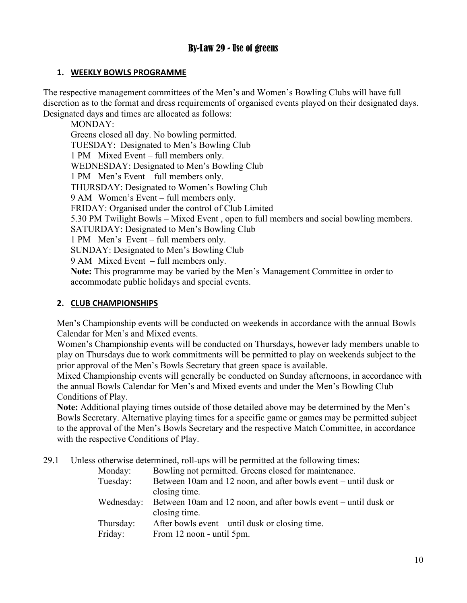## By-Law 29 - Use of greens

#### **1. WEEKLY BOWLS PROGRAMME**

The respective management committees of the Men's and Women's Bowling Clubs will have full discretion as to the format and dress requirements of organised events played on their designated days. Designated days and times are allocated as follows:

MONDAY: Greens closed all day. No bowling permitted. TUESDAY: Designated to Men's Bowling Club 1 PM Mixed Event – full members only. WEDNESDAY: Designated to Men's Bowling Club 1 PM Men's Event – full members only. THURSDAY: Designated to Women's Bowling Club 9 AM Women's Event – full members only. FRIDAY: Organised under the control of Club Limited 5.30 PM Twilight Bowls – Mixed Event , open to full members and social bowling members. SATURDAY: Designated to Men's Bowling Club 1 PM Men's Event – full members only. SUNDAY: Designated to Men's Bowling Club 9 AM Mixed Event – full members only. **Note:** This programme may be varied by the Men's Management Committee in order to accommodate public holidays and special events.

#### **2. CLUB CHAMPIONSHIPS**

Men's Championship events will be conducted on weekends in accordance with the annual Bowls Calendar for Men's and Mixed events.

Women's Championship events will be conducted on Thursdays, however lady members unable to play on Thursdays due to work commitments will be permitted to play on weekends subject to the prior approval of the Men's Bowls Secretary that green space is available.

Mixed Championship events will generally be conducted on Sunday afternoons, in accordance with the annual Bowls Calendar for Men's and Mixed events and under the Men's Bowling Club Conditions of Play.

**Note:** Additional playing times outside of those detailed above may be determined by the Men's Bowls Secretary. Alternative playing times for a specific game or games may be permitted subject to the approval of the Men's Bowls Secretary and the respective Match Committee, in accordance with the respective Conditions of Play.

29.1 Unless otherwise determined, roll-ups will be permitted at the following times:

| Monday:    | Bowling not permitted. Greens closed for maintenance.           |
|------------|-----------------------------------------------------------------|
| Tuesday:   | Between 10am and 12 noon, and after bowls event – until dusk or |
|            | closing time.                                                   |
| Wednesday: | Between 10am and 12 noon, and after bowls event – until dusk or |
|            | closing time.                                                   |
| Thursday:  | After bowls event – until dusk or closing time.                 |
| Friday:    | From 12 noon - until 5pm.                                       |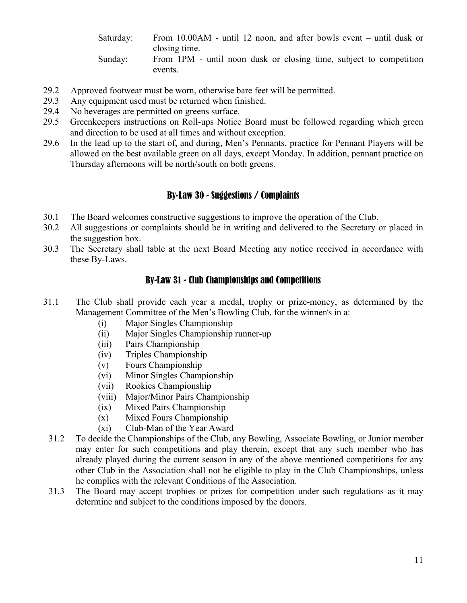Saturday: From 10.00AM - until 12 noon, and after bowls event – until dusk or closing time. Sunday: From 1PM - until noon dusk or closing time, subject to competition events.

- 29.2 Approved footwear must be worn, otherwise bare feet will be permitted.
- 29.3 Any equipment used must be returned when finished.
- 29.4 No beverages are permitted on greens surface.
- 29.5 Greenkeepers instructions on Roll-ups Notice Board must be followed regarding which green and direction to be used at all times and without exception.
- 29.6 In the lead up to the start of, and during, Men's Pennants, practice for Pennant Players will be allowed on the best available green on all days, except Monday. In addition, pennant practice on Thursday afternoons will be north/south on both greens.

#### By-Law 30 - Suggestions / Complaints

- 30.1 The Board welcomes constructive suggestions to improve the operation of the Club.
- 30.2 All suggestions or complaints should be in writing and delivered to the Secretary or placed in the suggestion box.
- 30.3 The Secretary shall table at the next Board Meeting any notice received in accordance with these By-Laws.

#### By-Law 31 - Club Championships and Competitions

- 31.1 The Club shall provide each year a medal, trophy or prize-money, as determined by the Management Committee of the Men's Bowling Club, for the winner/s in a:
	- (i) Major Singles Championship
	- (ii) Major Singles Championship runner-up
	- (iii) Pairs Championship
	- (iv) Triples Championship
	- (v) Fours Championship
	- (vi) Minor Singles Championship
	- (vii) Rookies Championship
	- (viii) Major/Minor Pairs Championship
	- (ix) Mixed Pairs Championship
	- (x) Mixed Fours Championship
	- (xi) Club-Man of the Year Award
	- 31.2 To decide the Championships of the Club, any Bowling, Associate Bowling, or Junior member may enter for such competitions and play therein, except that any such member who has already played during the current season in any of the above mentioned competitions for any other Club in the Association shall not be eligible to play in the Club Championships, unless he complies with the relevant Conditions of the Association.
	- 31.3 The Board may accept trophies or prizes for competition under such regulations as it may determine and subject to the conditions imposed by the donors.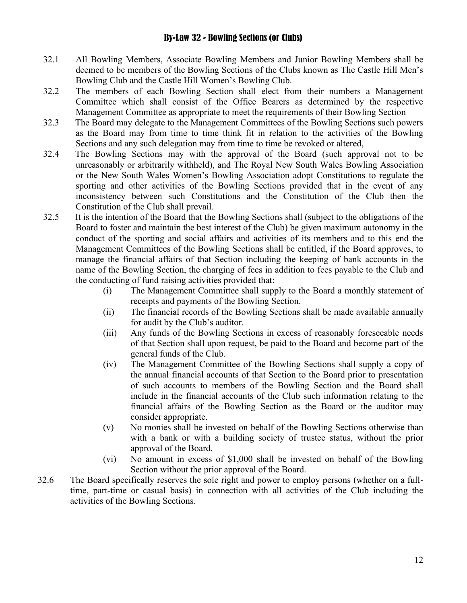#### By-Law 32 - Bowling Sections (or Clubs)

- 32.1 All Bowling Members, Associate Bowling Members and Junior Bowling Members shall be deemed to be members of the Bowling Sections of the Clubs known as The Castle Hill Men's Bowling Club and the Castle Hill Women's Bowling Club.
- 32.2 The members of each Bowling Section shall elect from their numbers a Management Committee which shall consist of the Office Bearers as determined by the respective Management Committee as appropriate to meet the requirements of their Bowling Section
- 32.3 The Board may delegate to the Management Committees of the Bowling Sections such powers as the Board may from time to time think fit in relation to the activities of the Bowling Sections and any such delegation may from time to time be revoked or altered,
- 32.4 The Bowling Sections may with the approval of the Board (such approval not to be unreasonably or arbitrarily withheld), and The Royal New South Wales Bowling Association or the New South Wales Women's Bowling Association adopt Constitutions to regulate the sporting and other activities of the Bowling Sections provided that in the event of any inconsistency between such Constitutions and the Constitution of the Club then the Constitution of the Club shall prevail.
- 32.5 It is the intention of the Board that the Bowling Sections shall (subject to the obligations of the Board to foster and maintain the best interest of the Club) be given maximum autonomy in the conduct of the sporting and social affairs and activities of its members and to this end the Management Committees of the Bowling Sections shall be entitled, if the Board approves, to manage the financial affairs of that Section including the keeping of bank accounts in the name of the Bowling Section, the charging of fees in addition to fees payable to the Club and the conducting of fund raising activities provided that:
	- (i) The Management Committee shall supply to the Board a monthly statement of receipts and payments of the Bowling Section.
	- (ii) The financial records of the Bowling Sections shall be made available annually for audit by the Club's auditor.
	- (iii) Any funds of the Bowling Sections in excess of reasonably foreseeable needs of that Section shall upon request, be paid to the Board and become part of the general funds of the Club.
	- (iv) The Management Committee of the Bowling Sections shall supply a copy of the annual financial accounts of that Section to the Board prior to presentation of such accounts to members of the Bowling Section and the Board shall include in the financial accounts of the Club such information relating to the financial affairs of the Bowling Section as the Board or the auditor may consider appropriate.
	- (v) No monies shall be invested on behalf of the Bowling Sections otherwise than with a bank or with a building society of trustee status, without the prior approval of the Board.
	- (vi) No amount in excess of \$1,000 shall be invested on behalf of the Bowling Section without the prior approval of the Board.
- 32.6 The Board specifically reserves the sole right and power to employ persons (whether on a fulltime, part-time or casual basis) in connection with all activities of the Club including the activities of the Bowling Sections.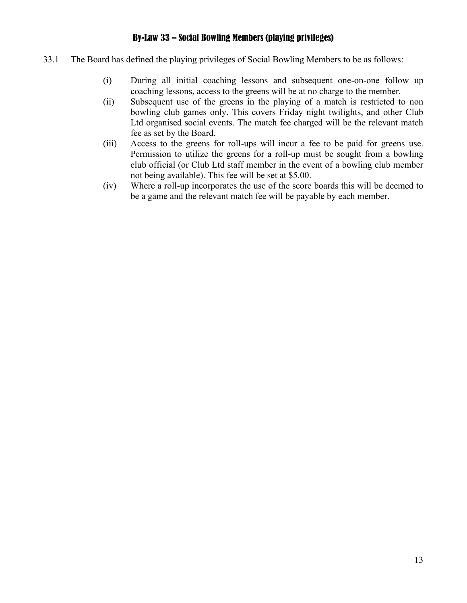## By-Law 33 – Social Bowling Members (playing privileges)

- 33.1 The Board has defined the playing privileges of Social Bowling Members to be as follows:
	- (i) During all initial coaching lessons and subsequent one-on-one follow up coaching lessons, access to the greens will be at no charge to the member.
	- (ii) Subsequent use of the greens in the playing of a match is restricted to non bowling club games only. This covers Friday night twilights, and other Club Ltd organised social events. The match fee charged will be the relevant match fee as set by the Board.
	- (iii) Access to the greens for roll-ups will incur a fee to be paid for greens use. Permission to utilize the greens for a roll-up must be sought from a bowling club official (or Club Ltd staff member in the event of a bowling club member not being available). This fee will be set at \$5.00.
	- (iv) Where a roll-up incorporates the use of the score boards this will be deemed to be a game and the relevant match fee will be payable by each member.